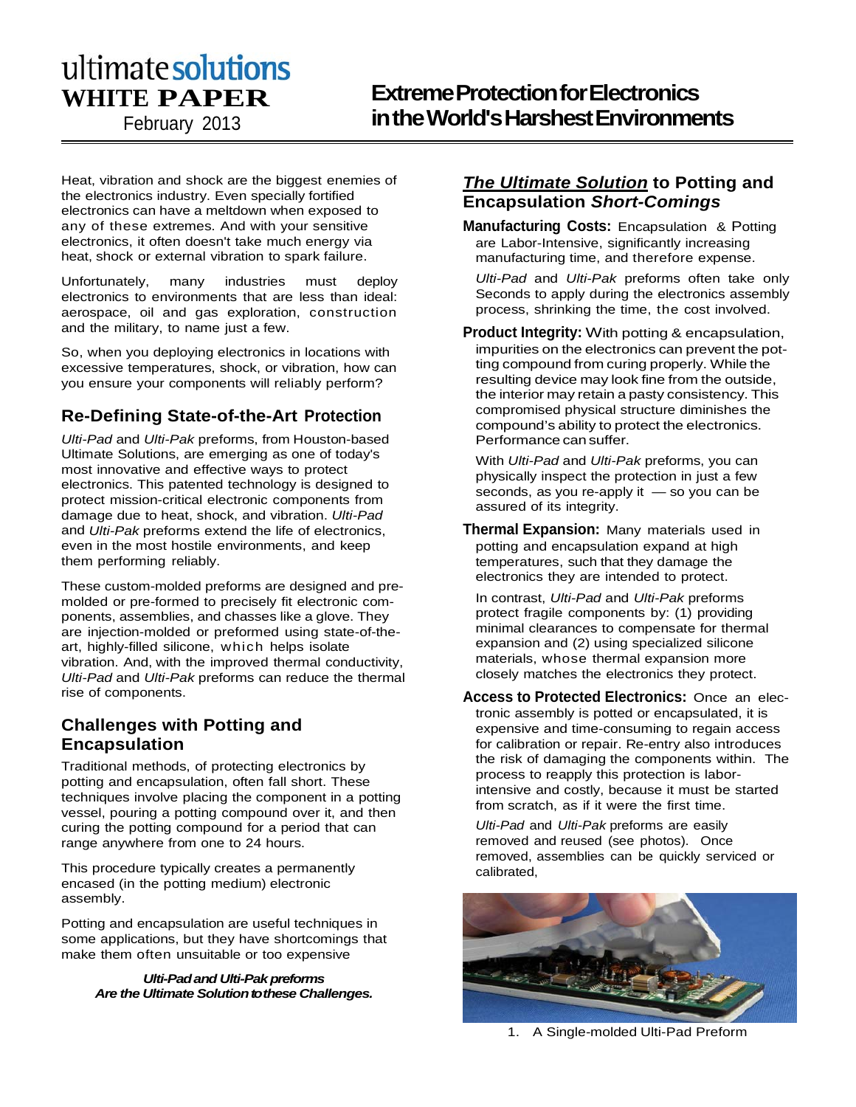# **WHITE PAPER**

February 2013

# **Extreme Protection for Electronics in the World's Harshest Environments**

Heat, vibration and shock are the biggest enemies of the electronics industry. Even specially fortified electronics can have a meltdown when exposed to any of these extremes. And with your sensitive electronics, it often doesn't take much energy via heat, shock or external vibration to spark failure.

Unfortunately, many industries must deploy electronics to environments that are less than ideal: aerospace, oil and gas exploration, construction and the military, to name just a few.

So, when you deploying electronics in locations with excessive temperatures, shock, or vibration, how can you ensure your components will reliably perform?

# **Re-Defining State-of-the-Art Protection**

*Ulti-Pad* and *Ulti-Pak* preforms, from Houston-based Ultimate Solutions, are emerging as one of today's most innovative and effective ways to protect electronics. This patented technology is designed to protect mission-critical electronic components from damage due to heat, shock, and vibration. *Ulti-Pad*  and *Ulti-Pak* preforms extend the life of electronics, even in the most hostile environments, and keep them performing reliably.

These custom-molded preforms are designed and premolded or pre-formed to precisely fit electronic components, assemblies, and chasses like a glove. They are injection-molded or preformed using state-of-theart, highly-filled silicone, which helps isolate vibration. And, with the improved thermal conductivity, *Ulti-Pad* and *Ulti-Pak* preforms can reduce the thermal rise of components.

## **Challenges with Potting and Encapsulation**

Traditional methods, of protecting electronics by potting and encapsulation, often fall short. These techniques involve placing the component in a potting vessel, pouring a potting compound over it, and then curing the potting compound for a period that can range anywhere from one to 24 hours.

This procedure typically creates a permanently encased (in the potting medium) electronic assembly.

Potting and encapsulation are useful techniques in some applications, but they have shortcomings that make them often unsuitable or too expensive

#### *Ulti-Padand Ulti-Pak preforms Are the Ultimate Solution to these Challenges.*

## *The Ultimate Solution* **to Potting and Encapsulation** *Short-Comings*

**Manufacturing Costs:** Encapsulation & Potting are Labor-Intensive, significantly increasing manufacturing time, and therefore expense.

*Ulti-Pad* and *Ulti-Pak* preforms often take only Seconds to apply during the electronics assembly process, shrinking the time, the cost involved.

**Product Integrity:** With potting & encapsulation, impurities on the electronics can prevent the potting compound from curing properly. While the resulting device may look fine from the outside, the interior may retain a pasty consistency. This compromised physical structure diminishes the compound's ability to protect the electronics. Performance can suffer.

With *Ulti-Pad* and *Ulti-Pak* preforms, you can physically inspect the protection in just a few seconds, as you re-apply it — so you can be assured of its integrity.

**Thermal Expansion:** Many materials used in potting and encapsulation expand at high temperatures, such that they damage the electronics they are intended to protect.

In contrast, *Ulti-Pad* and *Ulti-Pak* preforms protect fragile components by: (1) providing minimal clearances to compensate for thermal expansion and (2) using specialized silicone materials, whose thermal expansion more closely matches the electronics they protect.

**Access to Protected Electronics:** Once an electronic assembly is potted or encapsulated, it is expensive and time-consuming to regain access for calibration or repair. Re-entry also introduces the risk of damaging the components within. The process to reapply this protection is laborintensive and costly, because it must be started from scratch, as if it were the first time.

*Ulti-Pad* and *Ulti-Pak* preforms are easily removed and reused (see photos). Once removed, assemblies can be quickly serviced or calibrated,



1. A Single-molded Ulti-Pad Preform